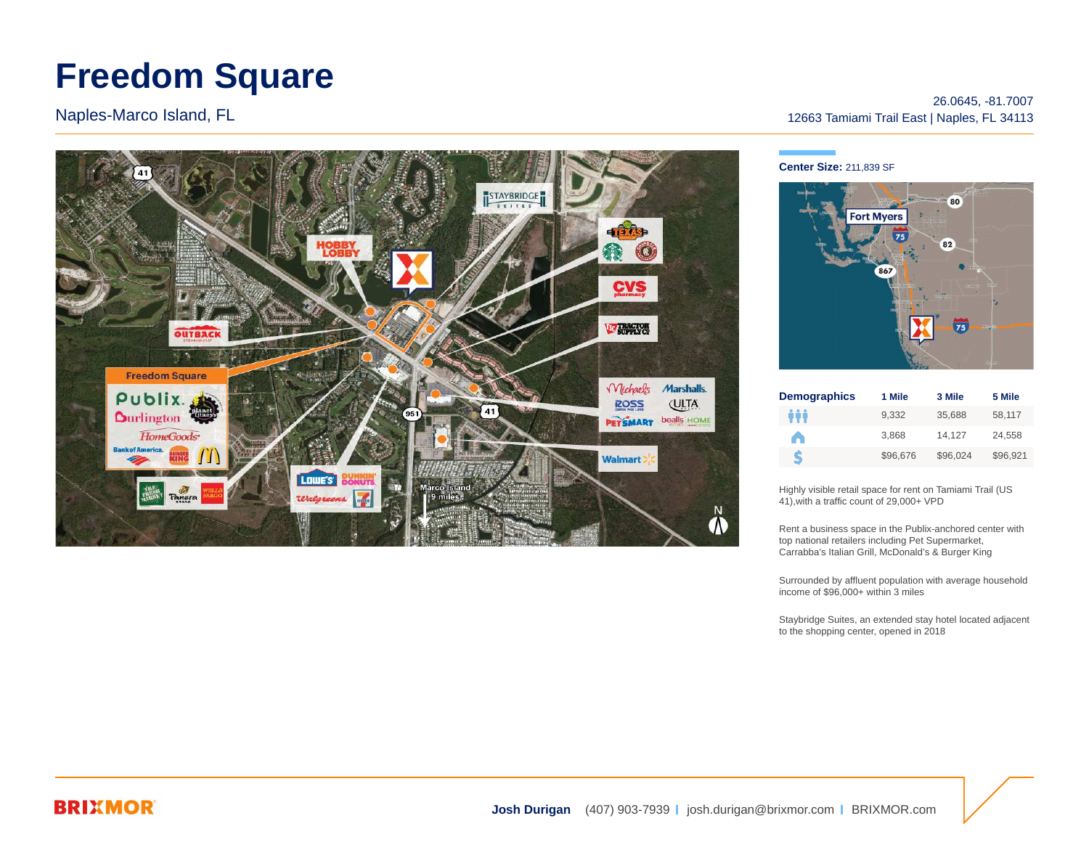# **Freedom Square**

Naples-Marco Island, FL



### 26.0645, -81.7007 12663 Tamiami Trail East | Naples, FL 34113

### **Center Size:** 211,839 SF



| <b>Demographics</b> | 1 Mile   | 3 Mile   | 5 Mile   |
|---------------------|----------|----------|----------|
| ŵŏ                  | 9.332    | 35.688   | 58.117   |
|                     | 3.868    | 14.127   | 24.558   |
| S                   | \$96,676 | \$96.024 | \$96.921 |

Highly visible retail space for rent on Tamiami Trail (US 41),with a traffic count of 29,000+ VPD

Rent a business space in the Publix-anchored center with top national retailers including Pet Supermarket, Carrabba's Italian Grill, McDonald's & Burger King

Surrounded by affluent population with average household income of \$96,000+ within 3 miles

Staybridge Suites, an extended stay hotel located adjacent to the shopping center, opened in 2018

### **BRIXMOR**